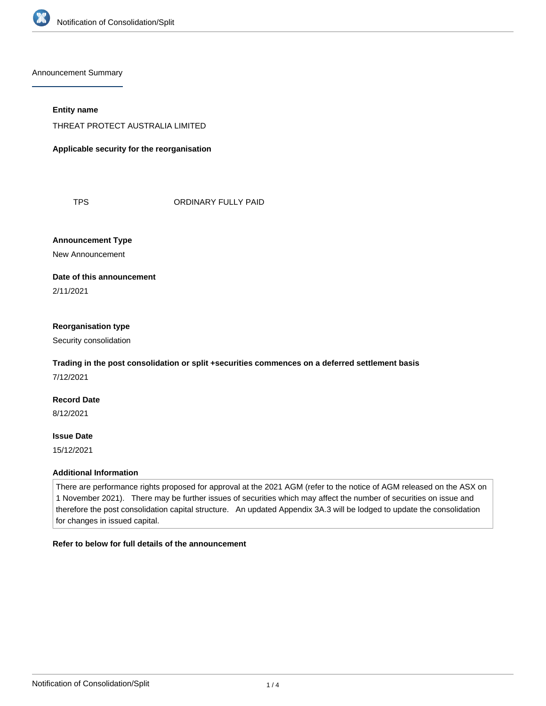

Announcement Summary

#### **Entity name**

THREAT PROTECT AUSTRALIA LIMITED

**Applicable security for the reorganisation**

TPS ORDINARY FULLY PAID

**Announcement Type**

New Announcement

#### **Date of this announcement**

2/11/2021

#### **Reorganisation type**

Security consolidation

### **Trading in the post consolidation or split +securities commences on a deferred settlement basis**

7/12/2021

# **Record Date**

8/12/2021

# **Issue Date**

15/12/2021

#### **Additional Information**

There are performance rights proposed for approval at the 2021 AGM (refer to the notice of AGM released on the ASX on 1 November 2021). There may be further issues of securities which may affect the number of securities on issue and therefore the post consolidation capital structure. An updated Appendix 3A.3 will be lodged to update the consolidation for changes in issued capital.

#### **Refer to below for full details of the announcement**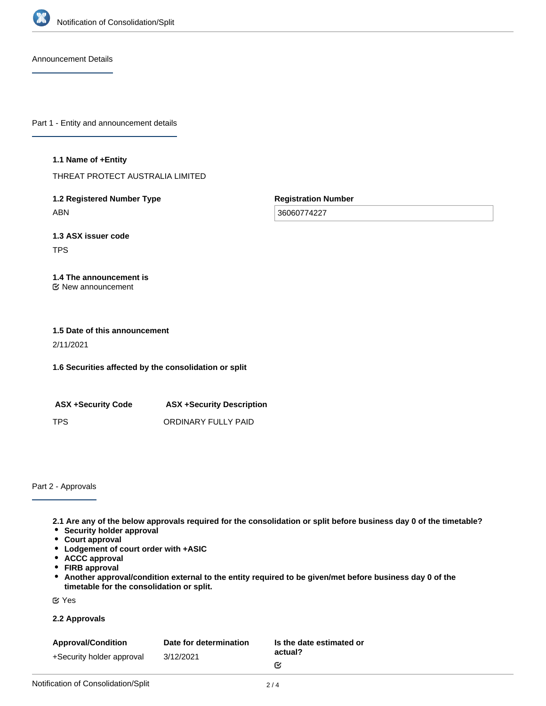

Announcement Details

Part 1 - Entity and announcement details

#### **1.1 Name of +Entity**

THREAT PROTECT AUSTRALIA LIMITED

**1.2 Registered Number Type** ABN

**Registration Number**

36060774227

**1.3 ASX issuer code** TPS

#### **1.4 The announcement is** New announcement

# **1.5 Date of this announcement**

2/11/2021

**1.6 Securities affected by the consolidation or split**

**ASX +Security Code ASX +Security Description** TPS ORDINARY FULLY PAID

Part 2 - Approvals

**2.1 Are any of the below approvals required for the consolidation or split before business day 0 of the timetable?**

- **Security holder approval**
- **Court approval**
- **Lodgement of court order with +ASIC**
- **ACCC approval**
- **FIRB approval**
- **Another approval/condition external to the entity required to be given/met before business day 0 of the timetable for the consolidation or split.**

Yes

#### **2.2 Approvals**

| <b>Approval/Condition</b> | Date for determination | Is the date estimated or |
|---------------------------|------------------------|--------------------------|
| +Security holder approval | 3/12/2021              | actual?                  |
|                           |                        | M                        |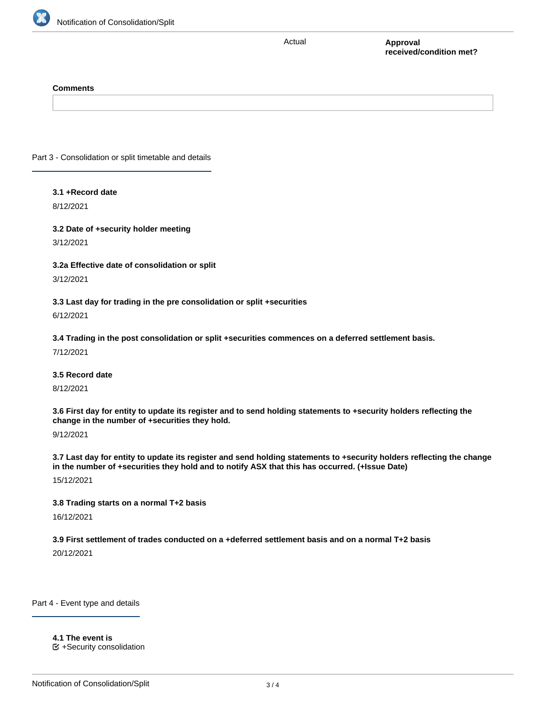

Actual

**Approval received/condition met?**

#### **Comments**

Part 3 - Consolidation or split timetable and details

#### **3.1 +Record date**

8/12/2021

**3.2 Date of +security holder meeting** 3/12/2021

#### **3.2a Effective date of consolidation or split**

3/12/2021

**3.3 Last day for trading in the pre consolidation or split +securities**

6/12/2021

**3.4 Trading in the post consolidation or split +securities commences on a deferred settlement basis.**

7/12/2021

**3.5 Record date**

8/12/2021

**3.6 First day for entity to update its register and to send holding statements to +security holders reflecting the change in the number of +securities they hold.**

9/12/2021

**3.7 Last day for entity to update its register and send holding statements to +security holders reflecting the change in the number of +securities they hold and to notify ASX that this has occurred. (+Issue Date)**

15/12/2021

#### **3.8 Trading starts on a normal T+2 basis**

16/12/2021

#### **3.9 First settlement of trades conducted on a +deferred settlement basis and on a normal T+2 basis**

**4.1a Consolidation ratio: the +securities will be consolidated on the basis that every**

20/12/2021

Part 4 - Event type and details

**4.1 The event is**

+Security consolidation